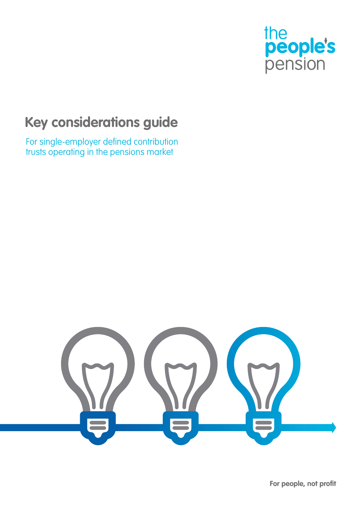

# **Key considerations guide**

For single-employer defined contribution trusts operating in the pensions market



**For people, not profit**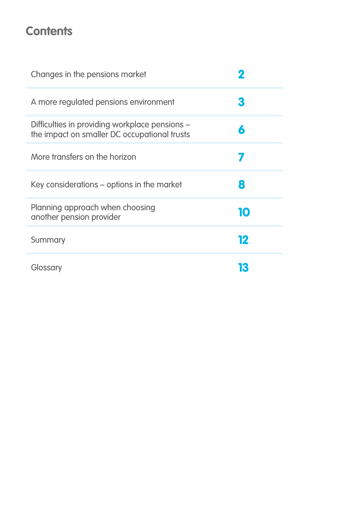# **Contents**

| Changes in the pensions market                                                                 |    |
|------------------------------------------------------------------------------------------------|----|
| A more regulated pensions environment                                                          | 3  |
| Difficulties in providing workplace pensions -<br>the impact on smaller DC occupational trusts | 6  |
| More transfers on the horizon                                                                  |    |
| Key considerations – options in the market                                                     | 8  |
| Planning approach when choosing<br>another pension provider                                    | 10 |
| Summary                                                                                        | 12 |
| Glossary                                                                                       | K  |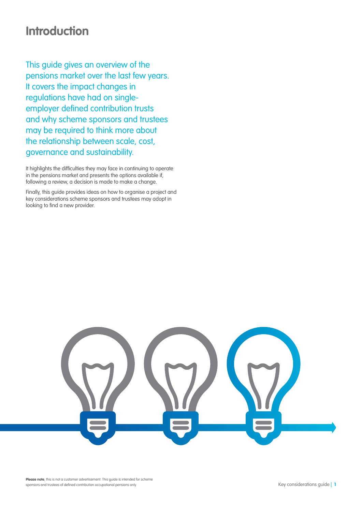## **Introduction**

This guide gives an overview of the pensions market over the last few years. It covers the impact changes in regulations have had on singleemployer defined contribution trusts and why scheme sponsors and trustees may be required to think more about the relationship between scale, cost, governance and sustainability.

It highlights the difficulties they may face in continuing to operate in the pensions market and presents the options available if, following a review, a decision is made to make a change.

Finally, this guide provides ideas on how to organise a project and key considerations scheme sponsors and trustees may adopt in looking to find a new provider.

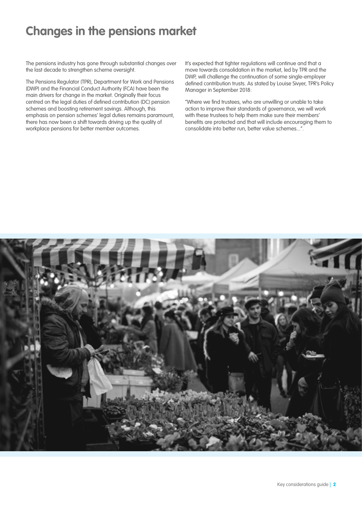## **Changes in the pensions market**

The pensions industry has gone through substantial changes over the last decade to strengthen scheme oversight.

The Pensions Regulator (TPR), Department for Work and Pensions (DWP) and the Financial Conduct Authority (FCA) have been the main drivers for change in the market. Originally their focus centred on the legal duties of defined contribution (DC) pension schemes and boosting retirement savings. Although, this emphasis on pension schemes' legal duties remains paramount, there has now been a shift towards driving up the quality of workplace pensions for better member outcomes.

It's expected that tighter regulations will continue and that a move towards consolidation in the market, led by TPR and the DWP, will challenge the continuation of some single-employer defined contribution trusts. As stated by Louise Sivyer, TPR's Policy Manager in September 2018:

"Where we find trustees, who are unwilling or unable to take action to improve their standards of governance, we will work with these trustees to help them make sure their members' benefits are protected and that will include encouraging them to consolidate into better run, better value schemes...".

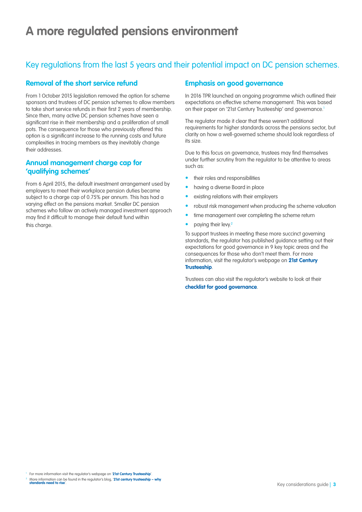# **A more regulated pensions environment**

## Key regulations from the last 5 years and their potential impact on DC pension schemes.

### **Removal of the short service refund**

From 1 October 2015 legislation removed the option for scheme sponsors and trustees of DC pension schemes to allow members to take short service refunds in their first 2 years of membership. Since then, many active DC pension schemes have seen a significant rise in their membership and a proliferation of small pots. The consequence for those who previously offered this option is a significant increase to the running costs and future complexities in tracing members as they inevitably change their addresses.

## **Annual management charge cap for 'qualifying schemes'**

From 6 April 2015, the default investment arrangement used by employers to meet their workplace pension duties became subject to a charge cap of 0.75% per annum. This has had a varying effect on the pensions market. Smaller DC pension schemes who follow an actively managed investment approach may find it difficult to manage their default fund within this charge.

### **Emphasis on good governance**

In 2016 TPR launched an ongoing programme which outlined their expectations on effective scheme management. This was based on their paper on '21st Century Trusteeship' and governance.<sup>1</sup>

The regulator made it clear that these weren't additional requirements for higher standards across the pensions sector, but clarity on how a well-governed scheme should look regardless of its size.

Due to this focus on governance, trustees may find themselves under further scrutiny from the regulator to be attentive to areas such as:

- their roles and responsibilities
- having a diverse Board in place
- existing relations with their employers
- robust risk management when producing the scheme valuation
- time management over completing the scheme return
- paying their levy.2

To support trustees in meeting these more succinct governing standards, the regulator has published guidance setting out their expectations for good governance in 9 key topic areas and the consequences for those who don't meet them. For more information, visit the regulator's webpage on **[21st Century](https://www.thepensionsregulator.gov.uk/en/trustees/21st-century-trusteeship)  [Trusteeship](https://www.thepensionsregulator.gov.uk/en/trustees/21st-century-trusteeship)**.

Trustees can also visit the regulator's website to look at their **[checklist for good governance](https://www.thepensionsregulator.gov.uk/-/media/thepensionsregulator/files/import/pdf/21c-round-up-1.ashx)**.

<sup>1</sup> For more information visit the regulator's webpage on '[21st Century Trusteeship](http://www.thepensionsregulator.gov.uk/en/trustees/21st-century-trusteeship)'.

<sup>2</sup> More information can be found in the regulator's blog, '**[21st century trusteeship – why](https://blog.thepensionsregulator.gov.uk/2017/10/05/21st-century-trusteeship-why-standards-need-to-rise/)  [standards need to rise](https://blog.thepensionsregulator.gov.uk/2017/10/05/21st-century-trusteeship-why-standards-need-to-rise/)**'.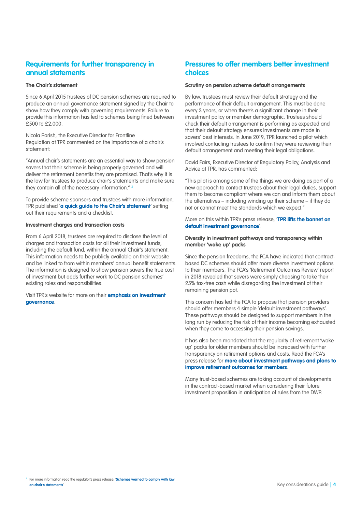## **Requirements for further transparency in annual statements**

#### **The Chair's statement**

Since 6 April 2015 trustees of DC pension schemes are required to produce an annual governance statement signed by the Chair to show how they comply with governing requirements. Failure to provide this information has led to schemes being fined between £500 to £2,000.

Nicola Parish, the Executive Director for Frontline Regulation at TPR commented on the importance of a chair's statement:

"Annual chair's statements are an essential way to show pension savers that their scheme is being properly governed and will deliver the retirement benefits they are promised. That's why it is the law for trustees to produce chair's statements and make sure they contain all of the necessary information." 3

To provide scheme sponsors and trustees with more information, TPR published '**a [quick guide to the Chair's statement](http://www.thepensionsregulator.gov.uk/-/media/thepensionsregulator/files/import/pdf/chair-statement-quick-guide-new.ashx?la=en&hash=3913C6BD74656455FBDF2B6431FDBEA6028F02D2)**' setting out their requirements and a checklist.

#### **Investment charges and transaction costs**

From 6 April 2018, trustees are required to disclose the level of charges and transaction costs for all their investment funds, including the default fund, within the annual Chair's statement. This information needs to be publicly available on their website and be linked to from within members' annual benefit statements. The information is designed to show pension savers the true cost of investment but adds further work to DC pension schemes' existing roles and responsibilities.

Visit TPR's website for more on their **[emphasis on](http://www.thepensionsregulator.gov.uk/en/trustees/managing-dc-benefits/investment-guide-for-dc-pension-schemes) i[nvestment](http://www.thepensionsregulator.gov.uk/en/trustees/managing-dc-benefits/investment-guide-for-dc-pension-schemes)  [governance](http://www.thepensionsregulator.gov.uk/en/trustees/managing-dc-benefits/investment-guide-for-dc-pension-schemes)**.

## **Pressures to offer members better investment choices**

#### **Scrutiny on pension scheme default arrangements**

By law, trustees must review their default strategy and the performance of their default arrangement. This must be done .<br>every 3 years, or when there's a sianificant change in their investment policy or member demographic. Trustees should check their default arrangement is performing as expected and that their default strategy ensures investments are made in savers' best interests. In June 2019, TPR launched a pilot which involved contacting trustees to confirm they were reviewing their default arrangement and meeting their legal obligations.

David Fairs, Executive Director of Regulatory Policy, Analysis and Advice at TPR, has commented:

"This pilot is among some of the things we are doing as part of a new approach to contact trustees about their legal duties, support them to become compliant where we can and inform them about the alternatives – including winding up their scheme – if they do not or cannot meet the standards which we expect."

More on this within TPR's press release, '**[TPR lifts the bonnet on](http://www.thepensionsregulator.gov.uk/en/media-hub/press-releases/tpr-lifts-the-bonnet-on-default-investment-governance)  [default investment governance](http://www.thepensionsregulator.gov.uk/en/media-hub/press-releases/tpr-lifts-the-bonnet-on-default-investment-governance)**'.

#### **Diversity in investment pathways and transparency within member 'wake up' packs**

Since the pension freedoms, the FCA have indicated that contractbased DC schemes should offer more diverse investment options to their members. The FCA's 'Retirement Outcomes Review' report in 2018 revealed that savers were simply choosing to take their 25% tax-free cash while disregarding the investment of their remaining pension pot.

This concern has led the FCA to propose that pension providers should offer members 4 simple 'default investment pathways'. These pathways should be designed to support members in the long run by reducing the risk of their income becoming exhausted when they come to accessing their pension savings.

It has also been mandated that the regularity of retirement 'wake up' packs for older members should be increased with further transparency on retirement options and costs. Read the FCA's press release for **[more about investment pathways and plans to](http://www.fca.org.uk/news/press-releases/fca-proposes-rules-investment-pathways-and-other-measures-improve-retirement-outcomes-consumers)  [improve retirement outcomes for members](http://www.fca.org.uk/news/press-releases/fca-proposes-rules-investment-pathways-and-other-measures-improve-retirement-outcomes-consumers)**.

Many trust-based schemes are taking account of developments in the contract-based market when considering their future investment proposition in anticipation of rules from the DWP.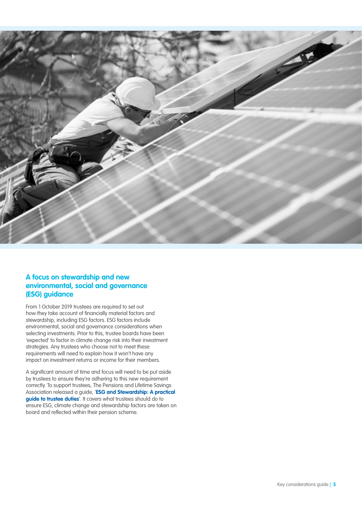

## **A focus on stewardship and new environmental, social and governance (ESG) guidance**

From 1 October 2019 trustees are required to set out how they take account of financially material factors and stewardship, including ESG factors. ESG factors include environmental, social and governance considerations when selecting investments. Prior to this, trustee boards have been 'expected' to factor in climate change risk into their investment strategies. Any trustees who choose not to meet these requirements will need to explain how it won't have any impact on investment returns or income for their members.

A significant amount of time and focus will need to be put aside by trustees to ensure they're adhering to this new requirement correctly. To support trustees, The Pensions and Lifetime Savings Association released a guide, '**[ESG and Stewardship: A practical](http://www.plsa.co.uk/Portals/0/Documents/Policy-Documents/2019/ESG-and-Stewardship-A-practical-guide-to-trustee-duties-2019-v2.pdf)  [guide to trustee duties](http://www.plsa.co.uk/Portals/0/Documents/Policy-Documents/2019/ESG-and-Stewardship-A-practical-guide-to-trustee-duties-2019-v2.pdf)**'. It covers what trustees should do to ensure ESG, climate change and stewardship factors are taken on board and reflected within their pension scheme.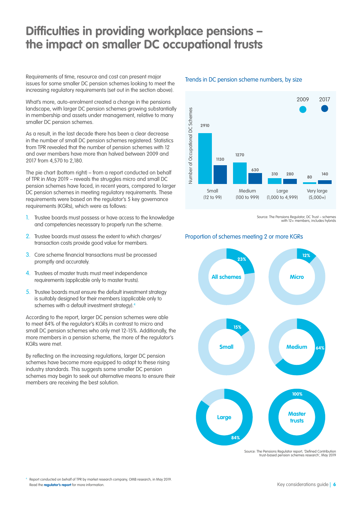## **Difficulties in providing workplace pensions – the impact on smaller DC occupational trusts**

Requirements of time, resource and cost can present major issues for some smaller DC pension schemes looking to meet the increasing regulatory requirements (set out in the section above).

What's more, auto-enrolment created a change in the pensions landscape, with larger DC pension schemes growing substantially in membership and assets under management, relative to many smaller DC pension schemes.

As a result, in the last decade there has been a clear decrease in the number of small DC pension schemes registered. Statistics from TPR revealed that the number of pension schemes with 12 and over members have more than halved between 2009 and 2017 from 4,570 to 2,180.

The pie chart (bottom right) – from a report conducted on behalf of TPR in May 2019 – reveals the struggles micro and small DC pension schemes have faced, in recent years, compared to larger DC pension schemes in meeting regulatory requirements. These requirements were based on the regulator's 5 key governance requirements (KGRs), which were as follows:

- 1. Trustee boards must possess or have access to the knowledge and competencies necessary to properly run the scheme.
- 2. Trustee boards must assess the extent to which charges/ transaction costs provide good value for members.
- 3. Core scheme financial transactions must be processed promptly and accurately.
- 4. Trustees of master trusts must meet independence requirements (applicable only to master trusts).
- 5. Trustee boards must ensure the default investment strategy is suitably designed for their members (applicable only to schemes with a default investment strategy).4

According to the report, larger DC pension schemes were able to meet 84% of the regulator's KGRs in contrast to micro and small DC pension schemes who only met 12-15%. Additionally, the more members in a pension scheme, the more of the regulator's KGRs were met.

By reflecting on the increasing regulations, larger DC pension schemes have become more equipped to adapt to these rising industry standards. This suggests some smaller DC pension schemes may begin to seek out alternative means to ensure their members are receiving the best solution.

#### Trends in DC pension scheme numbers, by size



Source: The Pensions Regulator, DC Trust – schemes with 12+ members, includes hybrids

#### Proportion of schemes meeting 2 or more KGRs



Source: The Pensions Regulator report, 'Defined Contribution trust-based pension schemes research', May 2019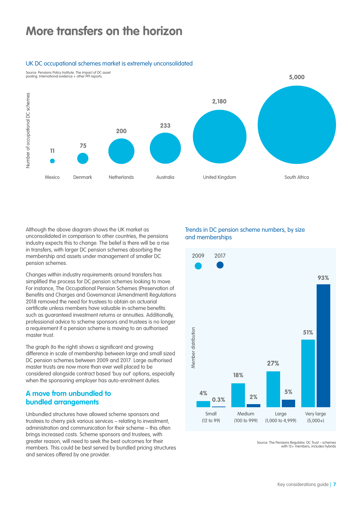## **More transfers on the horizon**

#### UK DC occupational schemes market is extremely unconsolidated

Source: Pensions Policy Institute. The impact of DC asset pooling: International evidence + other PPI reports.



Although the above diagram shows the UK market as unconsolidated in comparison to other countries, the pensions industry expects this to change. The belief is there will be a rise in transfers, with larger DC pension schemes absorbing the membership and assets under management of smaller DC pension schemes.

Changes within industry requirements around transfers has simplified the process for DC pension schemes looking to move. For instance, The Occupational Pension Schemes (Preservation of Benefits and Charges and Governance) (Amendment) Regulations 2018 removed the need for trustees to obtain an actuarial certificate unless members have valuable in-scheme benefits such as guaranteed investment returns or annuities. Additionally, professional advice to scheme sponsors and trustees is no longer a requirement if a pension scheme is moving to an authorised master trust.

The graph (to the right) shows a significant and growing difference in scale of membership between large and small sized DC pension schemes between 2009 and 2017. Large authorised master trusts are now more than ever well placed to be considered alongside contract based 'buy out' options, especially when the sponsoring employer has auto-enrolment duties.

## **A move from unbundled to bundled arrangements**

Unbundled structures have allowed scheme sponsors and trustees to cherry pick various services – relating to investment, administration and communication for their scheme – this often brings increased costs. Scheme sponsors and trustees, with greater reason, will need to seek the best outcomes for their members. This could be best served by bundled pricing structures and services offered by one provider.

### Trends in DC pension scheme numbers, by size and memberships



Source: The Pensions Regulator, DC Trust – schemes with 12+ members, includes hybrids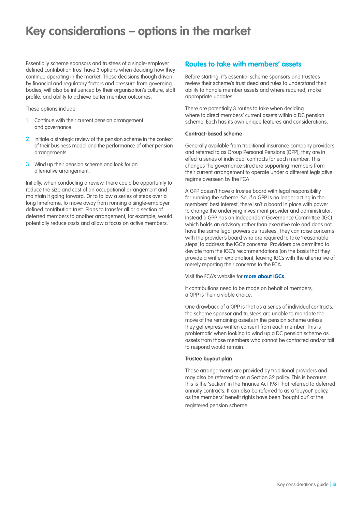## **Key considerations – options in the market**

Essentially scheme sponsors and trustees of a single-employer defined contribution trust have 3 options when deciding how they continue operating in the market. These decisions though driven by financial and regulatory factors and pressure from governing bodies, will also be influenced by their organisation's culture, staff profile, and ability to achieve better member outcomes.

These options include:

- 1. Continue with their current pension arrangement and governance.
- 2. Initiate a strategic review of the pension scheme in the context of their business model and the performance of other pension arrangements.
- 3. Wind up their pension scheme and look for an alternative arrangement.

Initially, when conducting a review, there could be opportunity to reduce the size and cost of an occupational arrangement and maintain it going forward. Or to follow a series of steps over a long timeframe, to move away from running a single-employer defined contribution trust. Plans to transfer all or a section of deferred members to another arrangement, for example, would potentially reduce costs and allow a focus on active members.

### **Routes to take with members' assets**

Before starting, it's essential scheme sponsors and trustees review their scheme's trust deed and rules to understand their ability to handle member assets and where required, make appropriate updates.

There are potentially 3 routes to take when deciding where to direct members' current assets within a DC pension scheme. Each has its own unique features and considerations.

#### **Contract-based scheme**

Generally available from traditional insurance company providers and referred to as Group Personal Pensions (GPP), they are in effect a series of individual contracts for each member. This changes the governance structure supporting members from their current arrangement to operate under a different legislative regime overseen by the FCA.

A GPP doesn't have a trustee board with legal responsibility for running the scheme. So, if a GPP is no longer acting in the members' best interest, there isn't a board in place with power to change the underlying investment provider and administrator. Instead a GPP has an Independent Governance Committee (IGC) which holds an advisory rather than executive role and does not have the same legal powers as trustees. They can raise concerns with the provider's board who are required to take 'reasonable steps' to address the IGC's concerns. Providers are permitted to deviate from the IGC's recommendations (on the basis that they provide a written explanation), leaving IGCs with the alternative of merely reporting their concerns to the FCA.

#### Visit the FCA's website for **[more about IGCs](http://www.fca.org.uk/firms/independent-governance-committees)**.

If contributions need to be made on behalf of members, a GPP is then a viable choice.

One drawback of a GPP is that as a series of individual contracts, the scheme sponsor and trustees are unable to mandate the move of the remaining assets in the pension scheme unless they get express written consent from each member. This is problematic when looking to wind up a DC pension scheme as assets from those members who cannot be contacted and/or fail to respond would remain.

#### **Trustee buyout plan**

These arrangements are provided by traditional providers and may also be referred to as a Section 32 policy. This is because this is the 'section' in the Finance Act 1981 that referred to deferred annuity contracts. It can also be referred to as a 'buyout' policy, as the members' benefit rights have been 'bought out' of the registered pension scheme.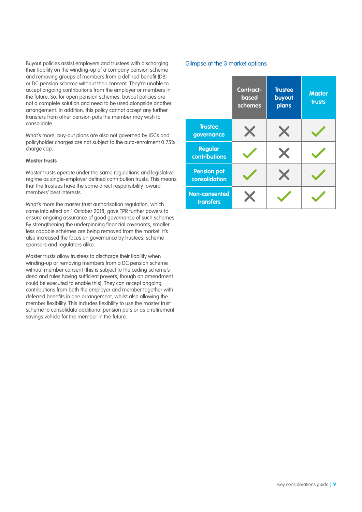Buyout policies assist employers and trustees with discharging their liability on the winding-up of a company pension scheme and removing groups of members from a defined benefit (DB) or DC pension scheme without their consent. They're unable to accept ongoing contributions from the employer or members in the future. So, for open pension schemes, buyout policies are not a complete solution and need to be used alongside another arrangement. In addition, this policy cannot accept any further transfers from other pension pots the member may wish to consolidate.

What's more, buy-out plans are also not governed by IGCs and policyholder charges are not subject to the auto-enrolment 0.75% charge cap.

#### **Master trusts**

Master trusts operate under the same regulations and legislative regime as single-employer defined contribution trusts. This means that the trustees have the same direct responsibility toward members' best interests.

What's more the master trust authorisation regulation, which came into effect on 1 October 2018, gave TPR further powers to ensure ongoing assurance of good governance of such schemes. By strengthening the underpinning financial covenants, smaller less capable schemes are being removed from the market. It's also increased the focus on governance by trustees, scheme sponsors and regulators alike.

Master trusts allow trustees to discharge their liability when winding-up or removing members from a DC pension scheme without member consent (this is subject to the ceding scheme's deed and rules having sufficient powers, though an amendment could be executed to enable this). They can accept ongoing contributions from both the employer and member together with deferred benefits in one arrangement, whilst also allowing the member flexibility. This includes flexibility to use the master trust scheme to consolidate additional pension pots or as a retirement savings vehicle for the member in the future.

### Glimpse at the 3 market options

|                                     | Contract-<br>based<br>schemes | <b>Trustee</b><br>buyout<br>plans | <b>Master</b><br>trusts |
|-------------------------------------|-------------------------------|-----------------------------------|-------------------------|
| <b>Trustee</b><br>governance        | X                             | X                                 |                         |
| <b>Regular</b><br>contributions     |                               | X                                 |                         |
| <b>Pension pot</b><br>consolidation |                               | $\mathbf{X}$                      |                         |
| <b>Non-consented</b><br>transfers   |                               |                                   |                         |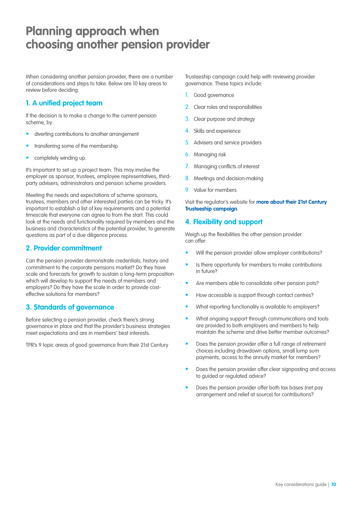## **Planning approach when choosing another pension provider**

When considering another pension provider, there are a number of considerations and steps to take. Below are 10 key areas to review before deciding.

## **1. A unified project team**

If the decision is to make a change to the current pension scheme, by:

- diverting contributions to another arrangement
- transferring some of the membership
- completely winding up.

It's important to set up a project team. This may involve the employer as sponsor, trustees, employee representatives, thirdparty advisers, administrators and pension scheme providers.

Meeting the needs and expectations of scheme sponsors, trustees, members and other interested parties can be tricky. It's important to establish a list of key requirements and a potential timescale that everyone can agree to from the start. This could look at the needs and functionality required by members and the business and characteristics of the potential provider, to generate questions as part of a due diligence process.

### **2. Provider commitment**

Can the pension provider demonstrate credentials, history and commitment to the corporate pensions market? Do they have scale and forecasts for growth to sustain a long-term proposition which will develop to support the needs of members and employers? Do they have the scale in order to provide costeffective solutions for members?

## **3. Standards of governance**

Before selecting a pension provider, check there's strong governance in place and that the provider's business strategies meet expectations and are in members' best interests.

TPR's 9 topic areas of good governance from their 21st Century

Trusteeship campaign could help with reviewing provider governance. These topics include:

- 1. Good governance
- 2. Clear roles and responsibilities
- 3. Clear purpose and strategy
- 4. Skills and experience
- 5. Advisers and service providers
- 6. Managing risk
- 7. Managing conflicts of interest
- 8. Meetings and decision-making
- 9. Value for members

Visit the regulator's website for **[more about their 21st Century](http://www.thepensionsregulator.gov.uk/en/trustees/21st-century-trusteeship)  [Trusteeship campaign](http://www.thepensionsregulator.gov.uk/en/trustees/21st-century-trusteeship)**.

## **4. Flexibility and support**

Weigh up the flexibilities the other pension provider can offer:

- Will the pension provider allow employer contributions?
- Is there opportunity for members to make contributions in future?
- Are members able to consolidate other pension pots?
- How accessible is support through contact centres?
- What reporting functionality is available to employers?
- What ongoing support through communications and tools are provided to both employers and members to help maintain the scheme and drive better member outcomes?
- Does the pension provider offer a full range of retirement choices including drawdown options, small lump sum payments, access to the annuity market for members?
- Does the pension provider offer clear signposting and access to guided or regulated advice?
- Does the pension provider offer both tax bases (net pay arrangement and relief at source) for contributions?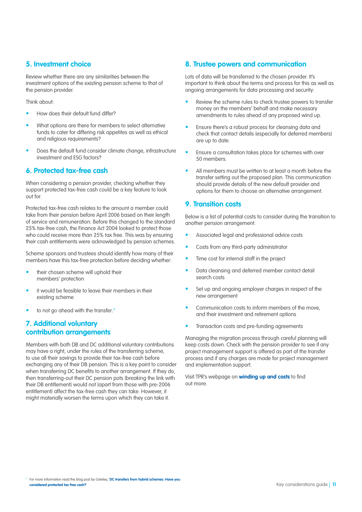## **5. Investment choice**

Review whether there are any similarities between the investment options of the existing pension scheme to that of the pension provider.

Think about:

- How does their default fund differ?
- What options are there for members to select alternative funds to cater for differing risk appetites as well as ethical and religious requirements?
- Does the default fund consider climate change, infrastructure investment and ESG factors?

## **6. Protected tax-free cash**

When considering a pension provider, checking whether they support protected tax-free cash could be a key feature to look out for.

Protected tax-free cash relates to the amount a member could take from their pension before April 2006 based on their length of service and remuneration. Before this changed to the standard 25% tax-free cash, the Finance Act 2004 looked to protect those who could receive more than 25% tax free. This was by ensuring their cash entitlements were acknowledged by pension schemes.

Scheme sponsors and trustees should identify how many of their members have this tax-free protection before deciding whether:

- their chosen scheme will uphold their members' protection
- it would be feasible to leave their members in their existing scheme
- to not go ahead with the transfer.<sup>5</sup>

## **7. Additional voluntary contribution arrangements**

Members with both DB and DC additional voluntary contributions may have a right, under the rules of the transferring scheme, to use all their savings to provide their tax-free cash before exchanging any of their DB pension. This is a key point to consider when transferring DC benefits to another arrangement. If they do, then transferring-out their DC pension pots (breaking the link with their DB entitlement) would not (apart from those with pre-2006 entitlement) affect the tax-free cash they can take. However, it might materially worsen the terms upon which they can take it.

## **8. Trustee powers and communication**

Lots of data will be transferred to the chosen provider. It's important to think about the terms and process for this as well as ongoing arrangements for data processing and security:

- Review the scheme rules to check trustee powers to transfer money on the members' behalf and make necessary amendments to rules ahead of any proposed wind up.
- Ensure there's a robust process for cleansing data and check that contact details (especially for deferred members) are up to date.
- Ensure a consultation takes place for schemes with over 50 members.
- All members must be written to at least a month before the transfer setting out the proposed plan. This communication should provide details of the new default provider and options for them to choose an alternative arrangement.

### **9. Transition costs**

Below is a list of potential costs to consider during the transition to another pension arrangement:

- Associated legal and professional advice costs
- Costs from any third-party administrator
- Time cost for internal staff in the project
- Data cleansing and deferred member contact detail search costs
- Set up and ongoing employer charges in respect of the new arrangement
- Communication costs to inform members of the move, and their investment and retirement options
- Transaction costs and pre-funding agreements

Managing the migration process through careful planning will keep costs down. Check with the pension provider to see if any project management support is offered as part of the transfer process and if any charges are made for project management and implementation support.

Visit TPR's webpage on **[winding up and costs](http://www.thepensionsregulator.gov.uk/en/document-library/regulatory-guidance/winding-up)** to find out more.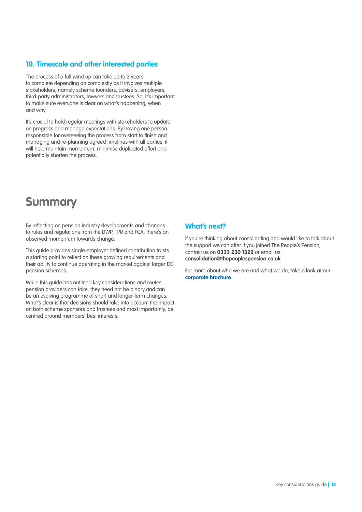## **10. Timescale and other interested parties**

The process of a full wind up can take up to 2 years to complete depending on complexity as it involves multiple stakeholders, namely scheme founders, advisers, employers, third-party administrators, lawyers and trustees. So, it's important to make sure everyone is clear on what's happening, when and why.

It's crucial to hold regular meetings with stakeholders to update on progress and manage expectations. By having one person responsible for overseeing the process from start to finish and managing and re-planning agreed timelines with all parties, it will help maintain momentum, minimise duplicated effort and potentially shorten the process.

## **Summary**

By reflecting on pension industry developments and changes to rules and regulations from the DWP, TPR and FCA, there's an observed momentum towards change.

This guide provides single-employer defined contribution trusts a starting point to reflect on these growing requirements and their ability to continue operating in the market against larger DC pension schemes.

While this guide has outlined key considerations and routes pension providers can take, they need not be binary and can be an evolving programme of short and longer-term changes. What's clear is that decisions should take into account the impact on both scheme sponsors and trustees and most importantly, be centred around members' best interests.

### **What's next?**

If you're thinking about consolidating and would like to talk about the support we can offer if you joined The People's Pension, contact us on **0333 230 1322** or email us: **consolidation@thepeoplespension.co.uk** 

For more about who we are and what we do, take a look at our **[corporate brochure](http://www.thepeoplespension.co.uk/wp-content/uploads/2019/06/BR-TPP-0100.0319_-Corporate-brochure_v9-WEB.pdf)**.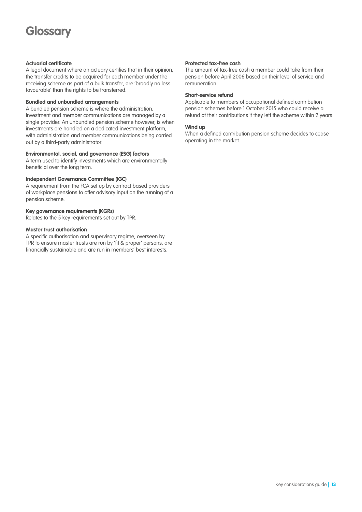# **Glossary**

#### **Actuarial certificate**

A legal document where an actuary certifies that in their opinion, the transfer credits to be acquired for each member under the receiving scheme as part of a bulk transfer, are 'broadly no less favourable' than the rights to be transferred.

#### **Bundled and unbundled arrangements**

A bundled pension scheme is where the administration, investment and member communications are managed by a single provider. An unbundled pension scheme however, is when investments are handled on a dedicated investment platform, with administration and member communications being carried out by a third-party administrator.

### **Environmental, social, and governance (ESG) factors**

A term used to identify investments which are environmentally beneficial over the long term.

#### **Independent Governance Committee (IGC)**

A requirement from the FCA set up by contract based providers of workplace pensions to offer advisory input on the running of a pension scheme.

#### **Key governance requirements (KGRs)**

Relates to the 5 key requirements set out by TPR.

#### **Master trust authorisation**

A specific authorisation and supervisory regime, overseen by TPR to ensure master trusts are run by 'fit & proper' persons, are financially sustainable and are run in members' best interests.

#### **Protected tax-free cash**

The amount of tax-free cash a member could take from their pension before April 2006 based on their level of service and remuneration.

#### **Short-service refund**

Applicable to members of occupational defined contribution pension schemes before 1 October 2015 who could receive a refund of their contributions if they left the scheme within 2 years.

#### **Wind up**

When a defined contribution pension scheme decides to cease operating in the market.